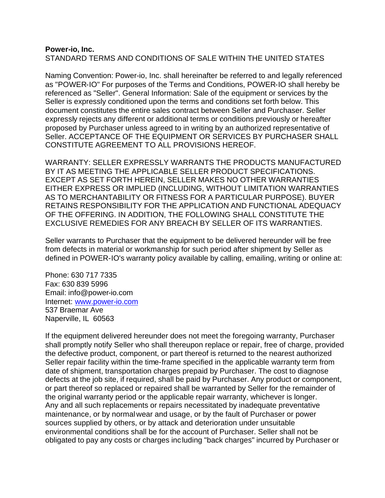## **Power-io, Inc.** STANDARD TERMS AND CONDITIONS OF SALE WITHIN THE UNITED STATES

Naming Convention: Power-io, Inc. shall hereinafter be referred to and legally referenced as "POWER-IO" For purposes of the Terms and Conditions, POWER-IO shall hereby be referenced as "Seller". General Information: Sale of the equipment or services by the Seller is expressly conditioned upon the terms and conditions set forth below. This document constitutes the entire sales contract between Seller and Purchaser. Seller expressly rejects any different or additional terms or conditions previously or hereafter proposed by Purchaser unless agreed to in writing by an authorized representative of Seller. ACCEPTANCE OF THE EQUIPMENT OR SERVICES BY PURCHASER SHALL CONSTITUTE AGREEMENT TO ALL PROVISIONS HEREOF.

WARRANTY: SELLER EXPRESSLY WARRANTS THE PRODUCTS MANUFACTURED BY IT AS MEETING THE APPLICABLE SELLER PRODUCT SPECIFICATIONS. EXCEPT AS SET FORTH HEREIN, SELLER MAKES NO OTHER WARRANTIES EITHER EXPRESS OR IMPLIED (INCLUDING, WITHOUT LIMITATION WARRANTIES AS TO MERCHANTABILITY OR FITNESS FOR A PARTICULAR PURPOSE). BUYER RETAINS RESPONSIBILITY FOR THE APPLICATION AND FUNCTIONAL ADEQUACY OF THE OFFERING. IN ADDITION, THE FOLLOWING SHALL CONSTITUTE THE EXCLUSIVE REMEDIES FOR ANY BREACH BY SELLER OF ITS WARRANTIES.

Seller warrants to Purchaser that the equipment to be delivered hereunder will be free from defects in material or workmanship for such period after shipment by Seller as defined in POWER-IO's warranty policy available by calling, emailing, writing or online at:

Phone: 630 717 7335 Fax: 630 839 5996 Email: info@power-io.com Internet: www.power-io.com 537 Braemar Ave Naperville, IL 60563

If the equipment delivered hereunder does not meet the foregoing warranty, Purchaser shall promptly notify Seller who shall thereupon replace or repair, free of charge, provided the defective product, component, or part thereof is returned to the nearest authorized Seller repair facility within the time-frame specified in the applicable warranty term from date of shipment, transportation charges prepaid by Purchaser. The cost to diagnose defects at the job site, if required, shall be paid by Purchaser. Any product or component, or part thereof so replaced or repaired shall be warranted by Seller for the remainder of the original warranty period or the applicable repair warranty, whichever is longer. Any and all such replacements or repairs necessitated by inadequate preventative maintenance, or by normal wear and usage, or by the fault of Purchaser or power sources supplied by others, or by attack and deterioration under unsuitable environmental conditions shall be for the account of Purchaser. Seller shall not be obligated to pay any costs or charges inc luding "back charges" incurred by Purchaser or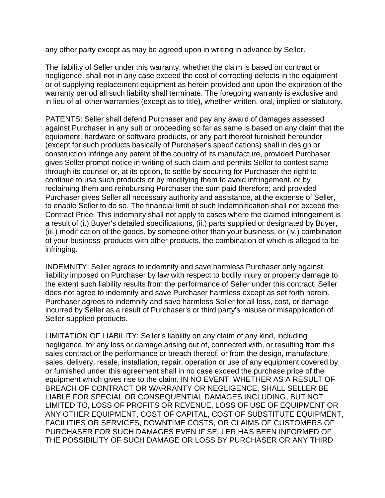any other party except as may be agreed upon in writing in advance by Seller.

The liability of Seller under this warranty, whether the claim is based on contract or negligence, shall not in any case exceed the cost of correcting defects in the equipment or of supplying replacement equipment as herein provided and upon the expiration of the warranty period all such liability shall terminate. The foregoing warranty is exclusive and in lieu of all other warranties (except as to title), whether written, oral, implied or statutory.

PATENTS: Seller shall defend Purchaser and pay any award of damages assessed against Purchaser in any suit or proceeding so far as same is based on any claim that the equipment, hardware or software products, or any part thereof furnished hereunder (except for such products basically of Purchaser's specifications) shall in design or construction infringe any patent of the country of its manufacture, provided Purchaser gives Seller prompt notice in writing of such claim and permits Seller to contest same through its counsel or, at its option, to settle by securing for Purchaser the right to continue to use such products or by modifying them to avoid infringement, or by reclaiming them and reimbursing Purchaser the sum paid therefore; and provided Purchaser gives Seller all necessary authority and assistance, at the expense of Seller, to enable Seller to do so. The financial limit of such Indemnification shall not exceed the Contract Price. This indemnity shall not apply to cases where the claimed infringement is a result of (i.) Buyer's detailed specifications, (ii.) parts supplied or designated by Buyer, (iii.) modification of the goods, by someone other than your business, or (iv.) combination of your business' products with other products, the combination of which is alleged to be infringing.

INDEMNITY: Seller agrees to indemnify and save harmless Purchaser only against liability imposed on Purchaser by law with respect to bodily injury or property damage to the extent such liability results from the performance of Seller under this contract. Seller does not agree to indemnify and save Purchaser harmless except as set forth herein. Purchaser agrees to indemnify and save harmless Seller for all loss, cost, or damage incurred by Seller as a result of Purchaser's or third party's misuse or misapplication of Seller-supplied products.

LIMITATION OF LIABILITY: Seller's liability on any claim of any kind, including negligence, for any loss or damage arising out of, connected with, or resulting from this sales contract or the performance or breach thereof, or from the design, manufacture, sales, delivery, resale, installation, repair, operation or use of any equipment covered by or furnished under this agreement shall in no case exceed the purchase price of the equipment which gives rise to the claim. IN NO EVENT, WHETHER AS A RESULT OF BREACH OF CONTRACT OR WARRANTY OR NEGLIGENCE, SHALL SELLER BE LIABLE FOR SPECIAL OR CONSEQUENTIAL DAMAGES INCLUDING, BUT NOT LIMITED TO, LOSS OF PROFITS OR REVENUE, LOSS OF USE OF EQUIPMENT OR ANY OTHER EQUIPMENT, COST OF CAPITAL, COST OF SUBSTITUTE EQUIPMENT, FACILITIES OR SERVICES, DOWNTIME COSTS, OR CLAIMS OF CUSTOMERS OF PURCHASER FOR SUCH DAMAGES EVEN IF SELLER HAS BEEN INFORMED OF THE POSSIBILITY OF SUCH DAMAGE OR LOSS BY PURCHASER OR ANY THIRD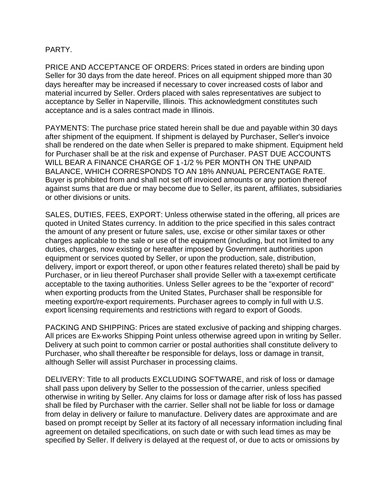## PARTY.

PRICE AND ACCEPTANCE OF ORDERS: Prices stated in orders are binding upon Seller for 30 days from the date hereof. Prices on all equipment shipped more than 30 days hereafter may be increased if necessary to cover increased costs of labor and material incurred by Seller. Orders placed with sales representatives are subject to acceptance by Seller in Naperville, Illinois. This acknowledgment constitutes such acceptance and is a sales contract made in Illinois.

PAYMENTS: The purchase price stated herein shall be due and payable within 30 days after shipment of the equipment. If shipment is delayed by Purchaser, Seller's invoice shall be rendered on the date when Seller is prepared to make shipment. Equipment held for Purchaser shall be at the risk and expense of Purchaser. PAST DUE ACCOUNTS WILL BEAR A FINANCE CHARGE OF 1-1/2 % PER MONTH ON THE UNPAID BALANCE, WHICH CORRESPONDS TO AN 18% ANNUAL PERCENTAGE RATE. Buyer is prohibited from and shall not set off invoiced amounts or any portion thereof against sums that are due or may become due to Seller, its parent, affiliates, subsidiaries or other divisions or units.

SALES, DUTIES, FEES, EXPORT: Unless otherwise stated in the offering, all prices are quoted in United States currency. In addition to the price specified in this sales contract the amount of any present or future sales, use, excise or other similar taxes or other charges applicable to the sale or use of the equipment (including, but not limited to any duties, charges, now existing or hereafter imposed by Government authorities upon equipment or services quoted by Seller, or upon the production, sale, distribution, delivery, import or export thereof, or upon other features related thereto) shall be paid by Purchaser, or in lieu thereof Purchaser shall provide Seller with a tax-exempt certificate acceptable to the taxing authorities. Unless Seller agrees to be the "exporter of record" when exporting products from the United States, Purchaser shall be responsible for meeting export/re-export requirements. Purchaser agrees to comply in full with U.S. export licensing requirements and restrictions with regard to export of Goods.

PACKING AND SHIPPING: Prices are stated exclusive of packing and shipping charges. All prices are Ex-works Shipping Point unless otherwise agreed upon in writing by Seller. Delivery at such point to common carrier or postal authorities shall constitute delivery to Purchaser, who shall thereafter be responsible for delays, loss or damage in transit, although Seller will assist Purchaser in processing claims.

DELIVERY: Title to all products EXCLUDING SOFTWARE, and risk of loss or damage shall pass upon delivery by Seller to the possession of the carrier, unless specified otherwise in writing by Seller. Any claims for loss or damage after risk of loss has passed shall be filed by Purchaser with the carrier. Seller shall not be liable for loss or damage from delay in delivery or failure to manufacture. Delivery dates are approximate and are based on prompt receipt by Seller at its factory of all necessary information including final agreement on detailed specifications, on such date or with such lead times as may be specified by Seller. If delivery is delayed at the request of, or due to acts or omissions by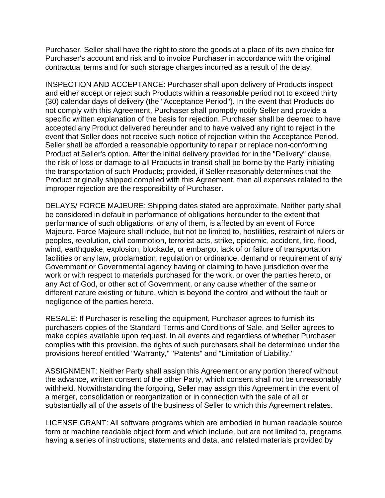Purchaser, Seller shall have the right to store the goods at a place of its own choice for Purchaser's account and risk and to invoice Purchaser in accordance with the original contractual terms and for such storage charges incurred as a result of the delay.

INSPECTION AND ACCEPTANCE: Purchaser shall upon delivery of Products inspect and either accept or reject such Products within a reasonable period not to exceed thirty (30) calendar days of delivery (the "Acceptance Period"). In the event that Products do not comply with this Agreement, Purchaser shall promptly notify Seller and provide a specific written explanation of the basis for rejection. Purchaser shall be deemed to have accepted any Product delivered hereunder and to have waived any right to reject in the event that Seller does not receive such notice of rejection within the Acceptance Period. Seller shall be afforded a reasonable opportunity to repair or replace non-conforming Product at Seller's option. After the initial delivery provided for in the "Delivery" clause, the risk of loss or damage to all Products in transit shall be borne by the Party initiating the transportation of such Products; provided, if Seller reasonably determines that the Product originally shipped complied with this Agreement, then all expenses related to the improper rejection are the responsibility of Purchaser.

DELAYS/ FORCE MAJEURE: Shipping dates stated are approximate. Neither party shall be considered in default in performance of obligations hereunder to the extent that performance of such obligations, or any of them, is affected by an event of Force Majeure. Force Majeure shall include, but not be limited to, hostilities, restraint of rulers or peoples, revolution, civil commotion, terrorist acts, strike, epidemic, accident, fire, flood, wind, earthquake, explosion, blockade, or embargo, lack of or failure of transportation facilities or any law, proclamation, regulation or ordinance, demand or requirement of any Government or Governmental agency having or claiming to have jurisdiction over the work or with respect to materials purchased for the work, or over the parties hereto, or any Act of God, or other act of Government, or any cause whether of the same or different nature existing or future, which is beyond the control and without the fault or negligence of the parties hereto.

RESALE: If Purchaser is reselling the equipment, Purchaser agrees to furnish its purchasers copies of the Standard Terms and Conditions of Sale, and Seller agrees to make copies available upon request. In all events and regardless of whether Purchaser complies with this provision, the rights of such purchasers shall be determined under the provisions hereof entitled "Warranty," "Patents" and "Limitation of Liability."

ASSIGNMENT: Neither Party shall assign this Agreement or any portion thereof without the advance, written consent of the other Party, which consent shall not be unreasonably withheld. Notwithstanding the forgoing, Seller may assign this Agreement in the event of a merger, consolidation or reorganization or in connection with the sale of all or substantially all of the assets of the business of Seller to which this Agreement relates.

LICENSE GRANT: All software programs which are embodied in human readable source form or machine readable object form and which include, but are not limited to, programs having a series of instructions, statements and data, and related materials provided by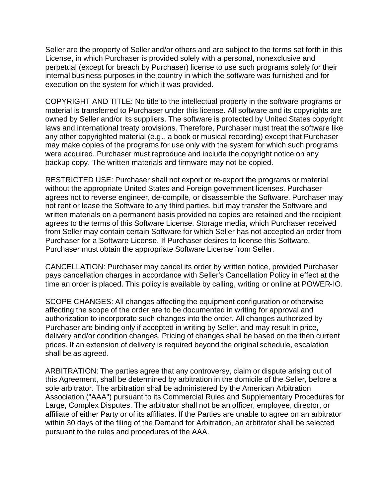Seller are the property of Seller and/or others and are subject to the terms set forth in this License, in which Purchaser is provided solely with a personal, nonexclusive and perpetual (except for breach by Purchaser) license to use such programs solely for their internal business purposes in the country in which the software was furnished and for execution on the system for which it was provided.

COPYRIGHT AND TITLE: No title to the intellectual property in the software programs or material is transferred to Purchaser under this license. All software and its copyrights are owned by Seller and/or its suppliers. The software is protected by United States copyright laws and international treaty provisions. Therefore, Purchaser must treat the software like any other copyrighted material (e.g., a book or musical recording) except that Purchaser may make copies of the programs for use only with the system for which such programs were acquired. Purchaser must reproduce and include the copyright notice on any backup copy. The written materials and firmware may not be copied.

RESTRICTED USE: Purchaser shall not export or re-export the programs or material without the appropriate United States and Foreign government licenses. Purchaser agrees not to reverse engineer, de-compile, or disassemble the Software. Purchaser may not rent or lease the Software to any third parties, but may transfer the Software and written materials on a permanent basis provided no copies are retained and the recipient agrees to the terms of this Software License. Storage media, which Purchaser received from Seller may contain certain Software for which Seller has not accepted an order from Purchaser for a Software License. If Purchaser desires to license this Software, Purchaser must obtain the appropriate Software License from Seller.

CANCELLATION: Purchaser may cancel its order by written notice, provided Purchaser pays cancellation charges in accordance with Seller's Cancellation Policy in effect at the time an order is placed. This policy is available by calling, writing or online at POWER-IO.

SCOPE CHANGES: All changes affecting the equipment configuration or otherwise affecting the scope of the order are to be documented in writing for approval and authorization to incorporate such changes into the order. All changes authorized by Purchaser are binding only if accepted in writing by Seller, and may result in price, delivery and/or condition changes. Pricing of changes shall be based on the then current prices. If an extension of delivery is required beyond the original schedule, escalation shall be as agreed.

ARBITRATION: The parties agree that any controversy, claim or dispute arising out of this Agreement, shall be determined by arbitration in the domicile of the Seller, before a sole arbitrator. The arbitration shall be administered by the American Arbitration Association ("AAA") pursuant to its Commercial Rules and Supplementary Procedures for Large, Complex Disputes. The arbitrator shall not be an officer, employee, director, or affiliate of either Party or of its affiliates. If the Parties are unable to agree on an arbitrator within 30 days of the filing of the Demand for Arbitration, an arbitrator shall be selected pursuant to the rules and procedures of the AAA.